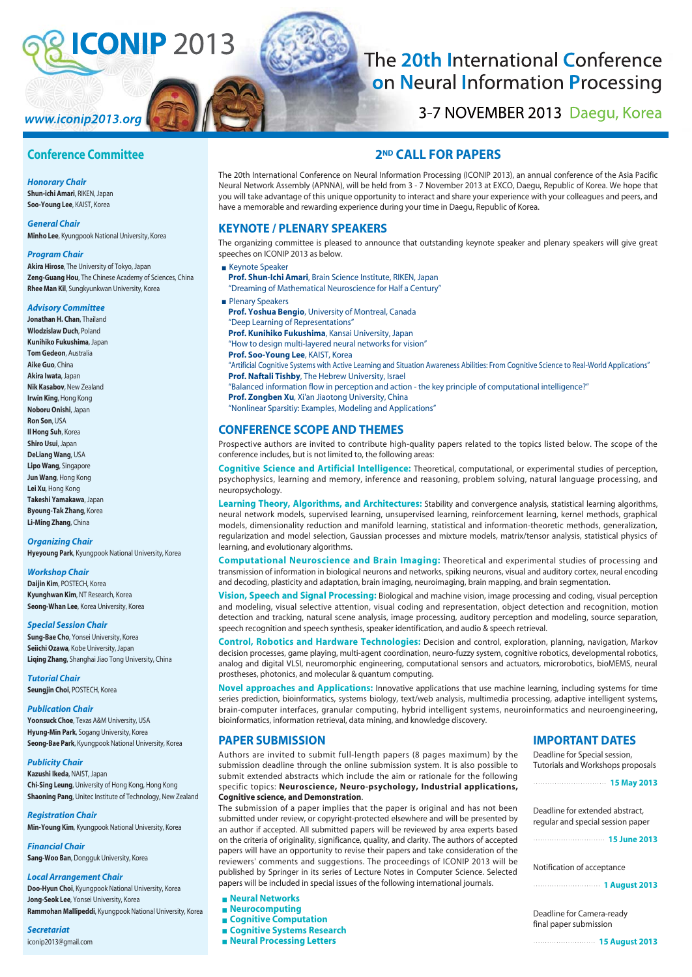# **CONIP 2013**

## The 20th International Conference on Neural Information Processing

3-7 NOVEMBER 2013 Daegu, Korea

## **Conference Committee**

www.iconip2013.org

*Honorary Chair* **Shun-ichi Amari**, RIKEN, Japan **Soo-Young Lee**, KAIST, Korea

*General Chair* **Minho Lee**, Kyungpook National University, Korea

#### *Program Chair*

**Akira Hirose**, The University of Tokyo, Japan **Zeng-Guang Hou**, The Chinese Academy of Sciences, China **Rhee Man Kil**, Sungkyunkwan University, Korea

#### *Advisory Committee*

**Jonathan H. Chan**, Thailand **Wlodzislaw Duch**, Poland **Kunihiko Fukushima**, Japan **Tom Gedeon**, Australia **Aike Guo**, China **Akira Iwata**, Japan **Nik Kasabov**, New Zealand **Irwin King**, Hong Kong **Noboru Onishi**, Japan **Ron Son**, USA **Il Hong Suh**, Korea **Shiro Usui**, Japan **DeLiang Wang**, USA **Lipo Wang**, Singapore **Jun Wang**, Hong Kong **Lei Xu**, Hong Kong **Takeshi Yamakawa**, Japan **Byoung-Tak Zhang**, Korea **Li-Ming Zhang**, China

#### *Organizing Chair*

**Hyeyoung Park**, Kyungpook National University, Korea

#### *Workshop Chair*

**Daijin Kim**, POSTECH, Korea **Kyunghwan Kim**, NT Research, Korea **Seong-Whan Lee**, Korea University, Korea

#### *Special Session Chair*

**Sung-Bae Cho**, Yonsei University, Korea **Seiichi Ozawa**, Kobe University, Japan **Liqing Zhang**, Shanghai Jiao Tong University, China

*Tutorial Chair* **Seungjin Choi**, POSTECH, Korea

#### *Publication Chair*

**Yoonsuck Choe**, Texas A&M University, USA **Hyung-Min Park**, Sogang University, Korea **Seong-Bae Park**, Kyungpook National University, Korea

#### *Publicity Chair*

**Kazushi Ikeda**, NAIST, Japan **Chi-Sing Leung**, University of Hong Kong, Hong Kong **Shaoning Pang**, Unitec Institute of Technology, New Zealand

*Registration Chair* **Min-Young Kim**, Kyungpook National University, Korea

*Financial Chair* **Sang-Woo Ban**, Dongguk University, Korea

#### *Local Arrangement Chair*

**Doo-Hyun Choi**, Kyungpook National University, Korea **Jong-Seok Lee**, Yonsei University, Korea **Rammohan Mallipeddi**, Kyungpook National University, Korea

*Secretariat* iconip2013@gmail.com

### **2ND CALL FOR PAPERS**

The 20th International Conference on Neural Information Processing (ICONIP 2013), an annual conference of the Asia Pacific Neural Network Assembly (APNNA), will be held from 3 - 7 November 2013 at EXCO, Daegu, Republic of Korea. We hope that you will take advantage of this unique opportunity to interact and share your experience with your colleagues and peers, and have a memorable and rewarding experience during your time in Daegu, Republic of Korea.

#### **KEYNOTE / PLENARY SPEAKERS**

The organizing committee is pleased to announce that outstanding keynote speaker and plenary speakers will give great speeches on ICONIP 2013 as below.

- **Keynote Speaker**
- **Prof. Shun-Ichi Amari**, Brain Science Institute, RIKEN, Japan
- "Dreaming of Mathematical Neuroscience for Half a Century" **Plenary Speakers**
- **Prof. Yoshua Bengio**, University of Montreal, Canada "Deep Learning of Representations" **Prof. Kunihiko Fukushima**, Kansai University, Japan "How to design multi-layered neural networks for vision" **Prof. Soo-Young Lee**, KAIST, Korea
- "Artificial Cognitive Systems with Active Learning and Situation Awareness Abilities: From Cognitive Science to Real-World Applications" **Prof. Naftali Tishby**, The Hebrew University, Israel
- "Balanced information flow in perception and action the key principle of computational intelligence?" **Prof. Zongben Xu**, Xi'an Jiaotong University, China
- "Nonlinear Sparsitiy: Examples, Modeling and Applications"

#### **CONFERENCE SCOPE AND THEMES**

Prospective authors are invited to contribute high-quality papers related to the topics listed below. The scope of the conference includes, but is not limited to, the following areas:

**Cognitive Science and Artificial Intelligence:** Theoretical, computational, or experimental studies of perception, psychophysics, learning and memory, inference and reasoning, problem solving, natural language processing, and neuropsychology.

**Learning Theory, Algorithms, and Architectures:** Stability and convergence analysis, statistical learning algorithms, neural network models, supervised learning, unsupervised learning, reinforcement learning, kernel methods, graphical models, dimensionality reduction and manifold learning, statistical and information-theoretic methods, generalization, regularization and model selection, Gaussian processes and mixture models, matrix/tensor analysis, statistical physics of learning, and evolutionary algorithms.

**Computational Neuroscience and Brain Imaging:** Theoretical and experimental studies of processing and transmission of information in biological neurons and networks, spiking neurons, visual and auditory cortex, neural encoding and decoding, plasticity and adaptation, brain imaging, neuroimaging, brain mapping, and brain segmentation.

**Vision, Speech and Signal Processing:** Biological and machine vision, image processing and coding, visual perception and modeling, visual selective attention, visual coding and representation, object detection and recognition, motion detection and tracking, natural scene analysis, image processing, auditory perception and modeling, source separation, speech recognition and speech synthesis, speaker identification, and audio & speech retrieval.

**Control, Robotics and Hardware Technologies:** Decision and control, exploration, planning, navigation, Markov decision processes, game playing, multi-agent coordination, neuro-fuzzy system, cognitive robotics, developmental robotics, analog and digital VLSI, neuromorphic engineering, computational sensors and actuators, microrobotics, bioMEMS, neural prostheses, photonics, and molecular & quantum computing.

**Novel approaches and Applications:** Innovative applications that use machine learning, including systems for time series prediction, bioinformatics, systems biology, text/web analysis, multimedia processing, adaptive intelligent systems, brain-computer interfaces, granular computing, hybrid intelligent systems, neuroinformatics and neuroengineering, bioinformatics, information retrieval, data mining, and knowledge discovery.

#### **PAPER SUBMISSION**

Authors are invited to submit full-length papers (8 pages maximum) by the submission deadline through the online submission system. It is also possible to submit extended abstracts which include the aim or rationale for the following specific topics: **Neuroscience, Neuro-psychology, Industrial applications, Cognitive science, and Demonstration**.

The submission of a paper implies that the paper is original and has not been submitted under review, or copyright-protected elsewhere and will be presented by an author if accepted. All submitted papers will be reviewed by area experts based on the criteria of originality, significance, quality, and clarity. The authors of accepted papers will have an opportunity to revise their papers and take consideration of the reviewers' comments and suggestions. The proceedings of ICONIP 2013 will be published by Springer in its series of Lecture Notes in Computer Science. Selected papers will be included in special issues of the following international journals.

- **Neural Networks**
- **Neurocomputing**
- **Cognitive Computation**
- **Cognitive Systems Research**
- **Neural Processing Letters**

#### **IMPORTANT DATES**

Deadline for Special session, Tutorials and Workshops proposals

| <b>15 May 2013</b> |
|--------------------|
|--------------------|

regular and special session paper

| . |  | <b>15 June 2013</b> |  |  |
|---|--|---------------------|--|--|
|---|--|---------------------|--|--|

Notification of acceptance

**1 August 2013**

Deadline for Camera-ready final paper submission

**15 August 2013**

Deadline for extended abstract, . . . . . . . . . . . . . . . . . . . .